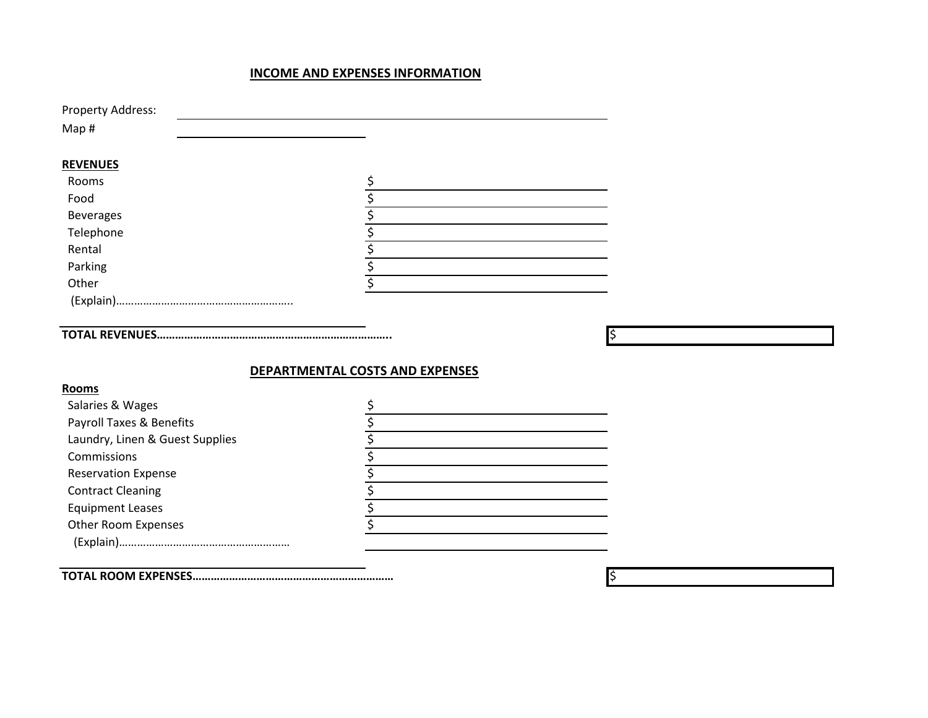## **INCOME AND EXPENSES INFORMATION**

| Property Address:               |                                 |  |
|---------------------------------|---------------------------------|--|
| Map#                            |                                 |  |
|                                 |                                 |  |
| <b>REVENUES</b>                 |                                 |  |
| Rooms                           | \$                              |  |
| Food                            |                                 |  |
| <b>Beverages</b>                |                                 |  |
| Telephone                       |                                 |  |
| Rental                          |                                 |  |
| Parking                         |                                 |  |
| Other                           |                                 |  |
|                                 |                                 |  |
|                                 |                                 |  |
|                                 |                                 |  |
|                                 |                                 |  |
|                                 |                                 |  |
|                                 | DEPARTMENTAL COSTS AND EXPENSES |  |
| Rooms                           |                                 |  |
| Salaries & Wages                |                                 |  |
| Payroll Taxes & Benefits        |                                 |  |
| Laundry, Linen & Guest Supplies |                                 |  |
| Commissions                     |                                 |  |
| <b>Reservation Expense</b>      |                                 |  |
| <b>Contract Cleaning</b>        |                                 |  |
| <b>Equipment Leases</b>         |                                 |  |
| Other Room Expenses             |                                 |  |
|                                 |                                 |  |

**TOTAL ROOM EXPENSES…………………………………………………………** \$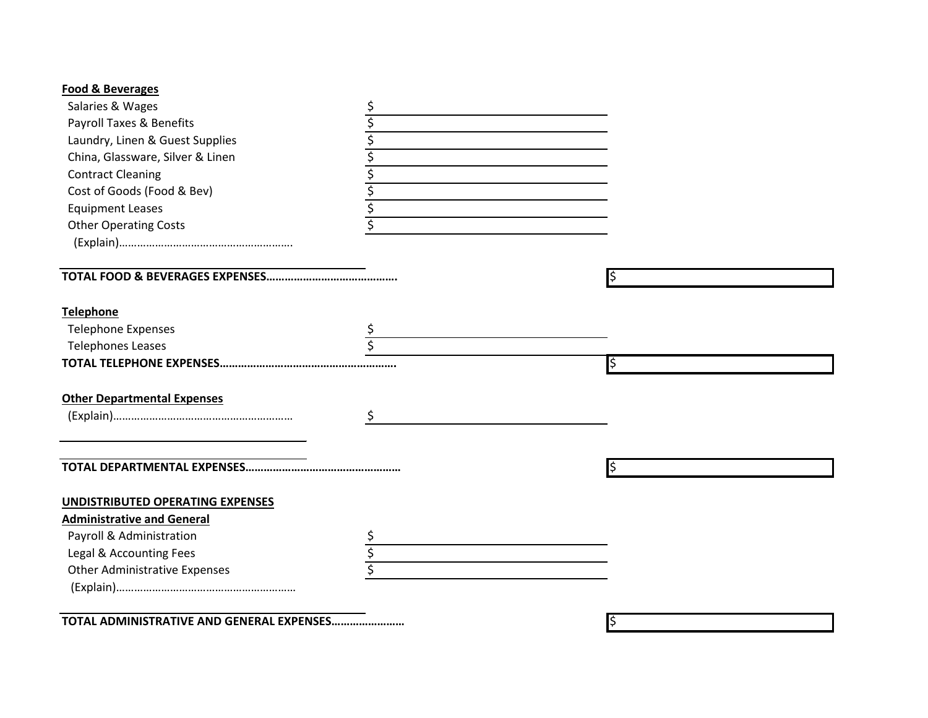| Food & Beverages |
|------------------|
|------------------|

| Salaries & Wages                          |     |
|-------------------------------------------|-----|
| Payroll Taxes & Benefits                  |     |
| Laundry, Linen & Guest Supplies           |     |
| China, Glassware, Silver & Linen          |     |
| <b>Contract Cleaning</b>                  |     |
| Cost of Goods (Food & Bev)                |     |
| <b>Equipment Leases</b>                   |     |
| <b>Other Operating Costs</b>              |     |
|                                           |     |
|                                           |     |
|                                           |     |
| <b>Telephone</b>                          |     |
| <b>Telephone Expenses</b>                 |     |
| <b>Telephones Leases</b>                  |     |
|                                           | ¦\$ |
|                                           |     |
| <b>Other Departmental Expenses</b>        |     |
|                                           | \$  |
|                                           |     |
|                                           |     |
| <b>UNDISTRIBUTED OPERATING EXPENSES</b>   |     |
| <b>Administrative and General</b>         |     |
| Payroll & Administration                  |     |
| Legal & Accounting Fees                   |     |
| <b>Other Administrative Expenses</b>      |     |
|                                           |     |
|                                           |     |
| TOTAL ADMINISTRATIVE AND GENERAL EXPENSES |     |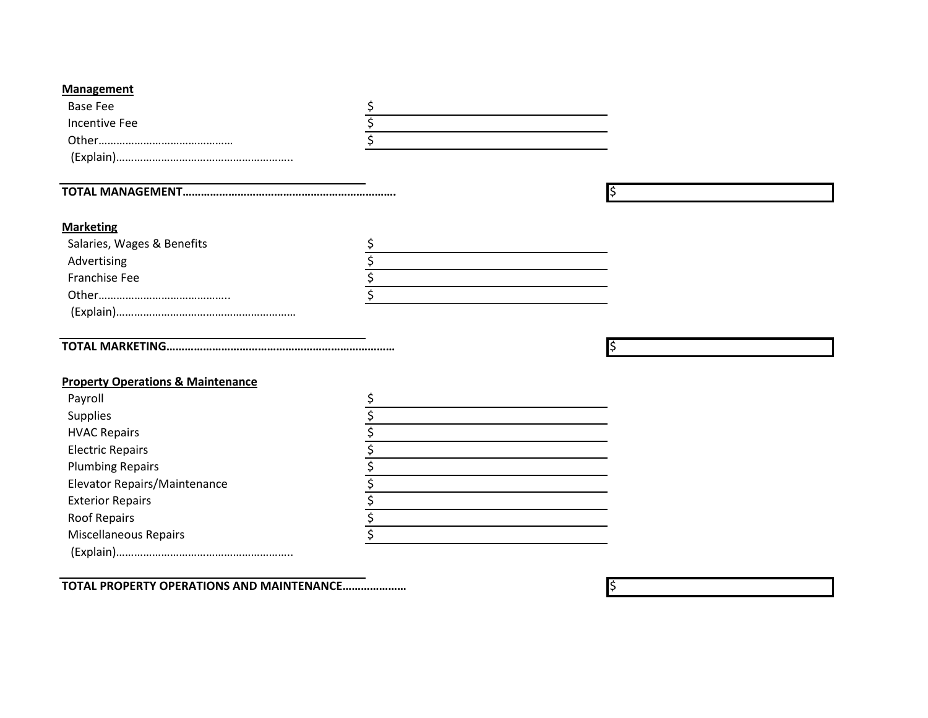| Management |
|------------|
|------------|

| <b>Base Fee</b>                                         | \$       |  |
|---------------------------------------------------------|----------|--|
| <b>Incentive Fee</b>                                    | \$       |  |
|                                                         |          |  |
|                                                         |          |  |
|                                                         |          |  |
|                                                         |          |  |
| <b>Marketing</b>                                        |          |  |
| Salaries, Wages & Benefits                              |          |  |
| Advertising                                             |          |  |
| Franchise Fee                                           |          |  |
|                                                         |          |  |
|                                                         |          |  |
|                                                         |          |  |
|                                                         |          |  |
|                                                         |          |  |
|                                                         |          |  |
|                                                         |          |  |
| <b>Property Operations &amp; Maintenance</b>            |          |  |
| Payroll                                                 | \$       |  |
| Supplies                                                |          |  |
| <b>HVAC Repairs</b>                                     |          |  |
| <b>Electric Repairs</b>                                 |          |  |
|                                                         |          |  |
| <b>Plumbing Repairs</b>                                 |          |  |
| Elevator Repairs/Maintenance<br><b>Exterior Repairs</b> | \$       |  |
|                                                         |          |  |
| Roof Repairs<br>Miscellaneous Repairs                   | \$<br>\$ |  |

**TOTAL PROPERTY OPERATIONS AND MAINTENANCE…………………** \$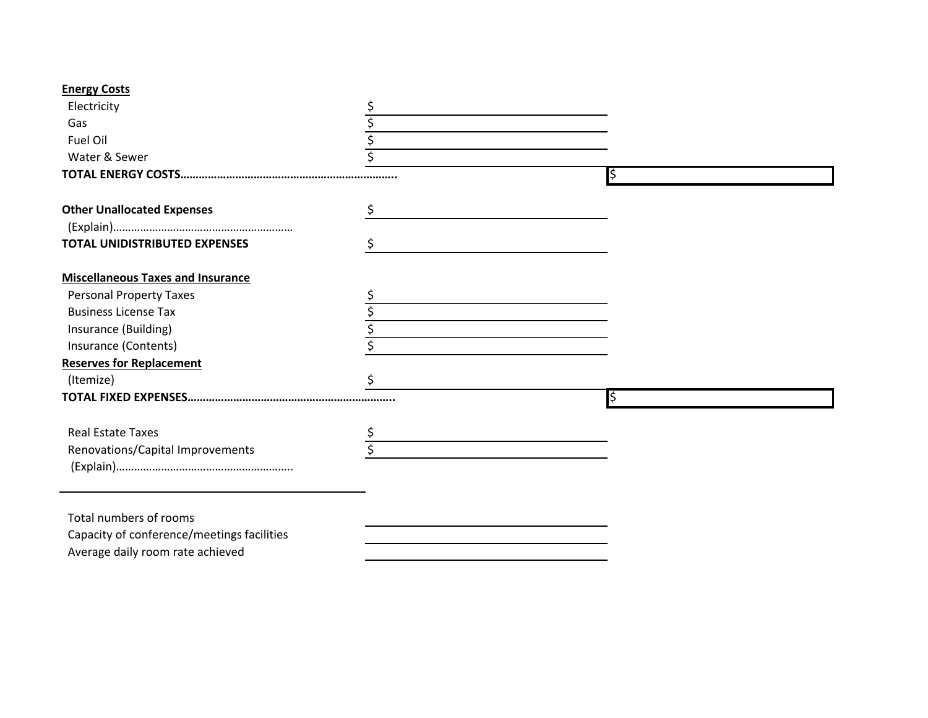## **Energy Costs**

| Electricity                                |     |  |
|--------------------------------------------|-----|--|
| Gas                                        |     |  |
| <b>Fuel Oil</b>                            |     |  |
| Water & Sewer                              |     |  |
|                                            | l\$ |  |
| <b>Other Unallocated Expenses</b>          | \$  |  |
|                                            |     |  |
| <b>TOTAL UNIDISTRIBUTED EXPENSES</b>       |     |  |
| <b>Miscellaneous Taxes and Insurance</b>   |     |  |
| <b>Personal Property Taxes</b>             |     |  |
| <b>Business License Tax</b>                |     |  |
| Insurance (Building)                       |     |  |
| Insurance (Contents)                       |     |  |
| <b>Reserves for Replacement</b>            |     |  |
| (Itemize)                                  |     |  |
|                                            |     |  |
| <b>Real Estate Taxes</b>                   |     |  |
| Renovations/Capital Improvements           |     |  |
|                                            |     |  |
|                                            |     |  |
| Total numbers of rooms                     |     |  |
| Capacity of conference/meetings facilities |     |  |
| Average daily room rate achieved           |     |  |